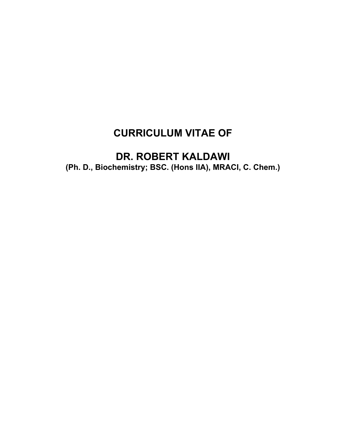# **CURRICULUM VITAE OF**

# **DR. ROBERT KALDAWI (Ph. D., Biochemistry; BSC. (Hons IIA), MRACI, C. Chem.)**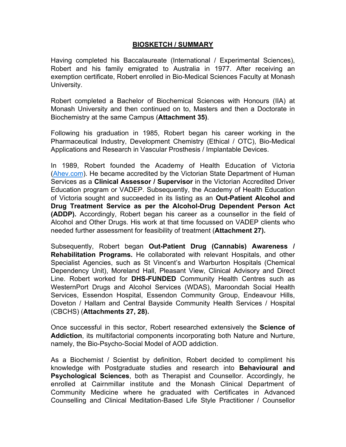#### **BIOSKETCH / SUMMARY**

Having completed his Baccalaureate (International / Experimental Sciences), Robert and his family emigrated to Australia in 1977. After receiving an exemption certificate, Robert enrolled in Bio-Medical Sciences Faculty at Monash University.

Robert completed a Bachelor of Biochemical Sciences with Honours (IIA) at Monash University and then continued on to, Masters and then a Doctorate in Biochemistry at the same Campus (**Attachment 35)**.

Following his graduation in 1985, Robert began his career working in the Pharmaceutical Industry, Development Chemistry (Ethical / OTC), Bio-Medical Applications and Research in Vascular Prosthesis / Implantable Devices.

In 1989, Robert founded the Academy of Health Education of Victoria ([Ahev.com](http://ahev.com/)). He became accredited by the Victorian State Department of Human Services as a **Clinical Assessor / Supervisor** in the Victorian Accredited Driver Education program or VADEP. Subsequently, the Academy of Health Education of Victoria sought and succeeded in its listing as an **Out-Patient Alcohol and Drug Treatment Service as per the Alcohol-Drug Dependent Person Act (ADDP).** Accordingly, Robert began his career as a counsellor in the field of Alcohol and Other Drugs. His work at that time focussed on VADEP clients who needed further assessment for feasibility of treatment (**Attachment 27).**

Subsequently, Robert began **Out-Patient Drug (Cannabis) Awareness / Rehabilitation Programs.** He collaborated with relevant Hospitals, and other Specialist Agencies, such as St Vincent's and Warburton Hospitals (Chemical Dependency Unit), Moreland Hall, Pleasant View, Clinical Advisory and Direct Line. Robert worked for **DHS-FUNDED** Community Health Centres such as WesternPort Drugs and Alcohol Services (WDAS), Maroondah Social Health Services, Essendon Hospital, Essendon Community Group, Endeavour Hills, Doveton / Hallam and Central Bayside Community Health Services / Hospital (CBCHS) (**Attachments 27, 28).**

Once successful in this sector, Robert researched extensively the **Science of Addiction**, its multifactorial components incorporating both Nature and Nurture, namely, the Bio-Psycho-Social Model of AOD addiction.

As a Biochemist / Scientist by definition, Robert decided to compliment his knowledge with Postgraduate studies and research into **Behavioural and Psychological Sciences**, both as Therapist and Counsellor. Accordingly, he enrolled at Cairnmillar institute and the Monash Clinical Department of Community Medicine where he graduated with Certificates in Advanced Counselling and Clinical Meditation-Based Life Style Practitioner / Counsellor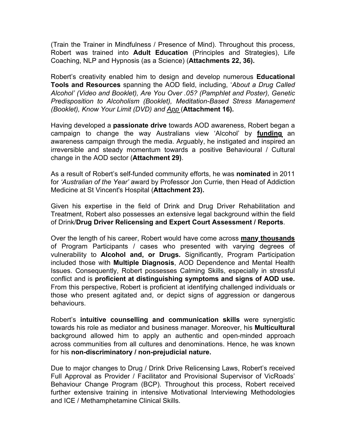(Train the Trainer in Mindfulness / Presence of Mind). Throughout this process, Robert was trained into **Adult Education** (Principles and Strategies), Life Coaching, NLP and Hypnosis (as a Science) (**Attachments 22, 36).**

Robert's creativity enabled him to design and develop numerous **Educational Tools and Resources** spanning the AOD field, including, '*About a Drug Called Alcohol' (Video and Booklet), Are You Over .05? (Pamphlet and Poster), Genetic Predisposition to Alcoholism (Booklet), Meditation-Based Stress Management (Booklet), Know Your Limit (DVD) and App* (**Attachment 16).**

Having developed a **passionate drive** towards AOD awareness, Robert began a campaign to change the way Australians view 'Alcohol' by **funding** an awareness campaign through the media. Arguably, he instigated and inspired an irreversible and steady momentum towards a positive Behavioural / Cultural change in the AOD sector (**Attachment 29)**.

As a result of Robert's self-funded community efforts, he was **nominated** in 2011 for *'Australian of the Year'* award by Professor Jon Currie, then Head of Addiction Medicine at St Vincent's Hospital (**Attachment 23).**

Given his expertise in the field of Drink and Drug Driver Rehabilitation and Treatment, Robert also possesses an extensive legal background within the field of Drink/**Drug Driver Relicensing and Expert Court Assessment / Reports**.

Over the length of his career, Robert would have come across **many thousands** of Program Participants / cases who presented with varying degrees of vulnerability to **Alcohol and, or Drugs.** Significantly, Program Participation included those with **Multiple Diagnosis**, AOD Dependence and Mental Health Issues. Consequently, Robert possesses Calming Skills, especially in stressful conflict and is **proficient at distinguishing symptoms and signs of AOD use.** From this perspective, Robert is proficient at identifying challenged individuals or those who present agitated and, or depict signs of aggression or dangerous behaviours.

Robert's **intuitive counselling and communication skills** were synergistic towards his role as mediator and business manager. Moreover, his **Multicultural**  background allowed him to apply an authentic and open-minded approach across communities from all cultures and denominations. Hence, he was known for his **non-discriminatory / non-prejudicial nature.**

Due to major changes to Drug / Drink Drive Relicensing Laws, Robert's received Full Approval as Provider / Facilitator and Provisional Supervisor of VicRoads' Behaviour Change Program (BCP). Throughout this process, Robert received further extensive training in intensive Motivational Interviewing Methodologies and ICE / Methamphetamine Clinical Skills.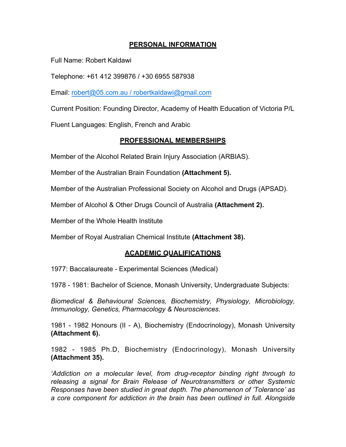#### **PERSONAL INFORMATION**

Full Name: Robert Kaldawi

Telephone: +61 412 399876 / +30 6955 587938

Email: [robert@05.com.au](mailto:robert@05.com.au) / robertkaldawi@gmail.com

Current Position: Founding Director, Academy of Health Education of Victoria P/L

Fluent Languages: English, French and Arabic

#### **PROFESSIONAL MEMBERSHIPS**

Member of the Alcohol Related Brain Injury Association (ARBIAS).

Member of the Australian Brain Foundation **(Attachment 5).**

Member of the Australian Professional Society on Alcohol and Drugs (APSAD).

Member of Alcohol & Other Drugs Council of Australia **(Attachment 2).**

Member of the Whole Health Institute

Member of Royal Australian Chemical Institute **(Attachment 38).**

#### **ACADEMIC QUALIFICATIONS**

1977: Baccalaureate - Experimental Sciences (Medical)

1978 - 1981: Bachelor of Science, Monash University, Undergraduate Subjects:

*Biomedical & Behavioural Sciences, Biochemistry, Physiology, Microbiology, Immunology, Genetics, Pharmacology & Neurosciences*.

1981 - 1982 Honours (II - A), Biochemistry (Endocrinology), Monash University **(Attachment 6).**

1982 - 1985 Ph.D, Biochemistry (Endocrinology), Monash University **(Attachment 35).**

*'Addiction on a molecular level, from drug-receptor binding right through to releasing a signal for Brain Release of Neurotransmitters or other Systemic Responses have been studied in great depth. The phenomenon of 'Tolerance' as a core component for addiction in the brain has been outlined in full. Alongside*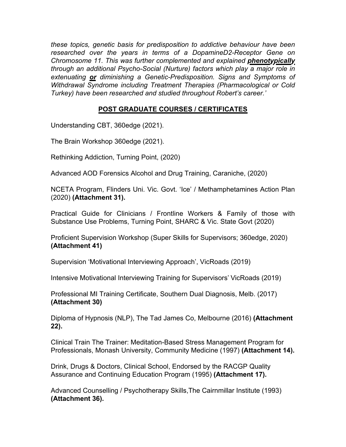*these topics, genetic basis for predisposition to addictive behaviour have been researched over the years in terms of a DopamineD2-Receptor Gene on Chromosome 11. This was further complemented and explained phenotypically through an additional Psycho-Social (Nurture) factors which play a major role in extenuating or diminishing a Genetic-Predisposition. Signs and Symptoms of Withdrawal Syndrome including Treatment Therapies (Pharmacological or Cold Turkey) have been researched and studied throughout Robert's career.'* 

# **POST GRADUATE COURSES / CERTIFICATES**

Understanding CBT, 360edge (2021).

The Brain Workshop 360edge (2021).

Rethinking Addiction, Turning Point, (2020)

Advanced AOD Forensics Alcohol and Drug Training, Caraniche, (2020)

NCETA Program, Flinders Uni. Vic. Govt. 'Ice' / Methamphetamines Action Plan (2020) **(Attachment 31).**

Practical Guide for Clinicians / Frontline Workers & Family of those with Substance Use Problems, Turning Point, SHARC & Vic. State Govt (2020)

Proficient Supervision Workshop (Super Skills for Supervisors; 360edge, 2020) **(Attachment 41)**

Supervision 'Motivational Interviewing Approach', VicRoads (2019)

Intensive Motivational Interviewing Training for Supervisors' VicRoads (2019)

Professional MI Training Certificate, Southern Dual Diagnosis, Melb. (2017) **(Attachment 30)**

Diploma of Hypnosis (NLP), The Tad James Co, Melbourne (2016) **(Attachment 22).**

Clinical Train The Trainer: Meditation-Based Stress Management Program for Professionals, Monash University, Community Medicine (1997) **(Attachment 14).**

Drink, Drugs & Doctors, Clinical School, Endorsed by the RACGP Quality Assurance and Continuing Education Program (1995) **(Attachment 17).**

Advanced Counselling / Psychotherapy Skills,The Cairnmillar Institute (1993) **(Attachment 36).**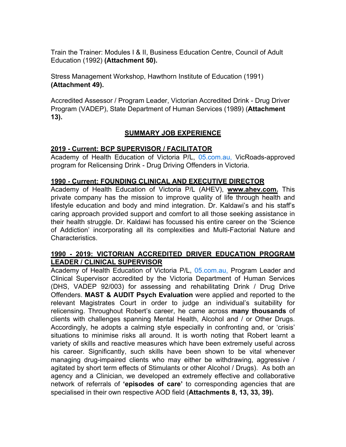Train the Trainer: Modules I & II, Business Education Centre, Council of Adult Education (1992) **(Attachment 50).**

Stress Management Workshop, Hawthorn Institute of Education (1991) **(Attachment 49).**

Accredited Assessor / Program Leader, Victorian Accredited Drink - Drug Driver Program (VADEP), State Department of Human Services (1989) (**Attachment 13).**

# **SUMMARY JOB EXPERIENCE**

# **2019 - Current: BCP SUPERVISOR / FACILITATOR**

Academy of Health Education of Victoria P/L, [05.com.au](http://05.com.au/), VicRoads-approved program for Relicensing Drink - Drug Driving Offenders in Victoria.

#### **1990 - Current: FOUNDING CLINICAL AND EXECUTIVE DIRECTOR**

Academy of Health Education of Victoria P/L (AHEV), **www.ahev.com.** This private company has the mission to improve quality of life through health and lifestyle education and body and mind integration. Dr. Kaldawi's and his staff's caring approach provided support and comfort to all those seeking assistance in their health struggle. Dr. Kaldawi has focussed his entire career on the 'Science of Addiction' incorporating all its complexities and Multi-Factorial Nature and Characteristics.

#### **1990 - 2019: VICTORIAN ACCREDITED DRIVER EDUCATION PROGRAM LEADER / CLINICAL SUPERVISOR**

Academy of Health Education of Victoria P/L, [05.com.au](http://05.com.au/), Program Leader and Clinical Supervisor accredited by the Victoria Department of Human Services (DHS, VADEP 92/003) for assessing and rehabilitating Drink / Drug Drive Offenders. **MAST & AUDIT Psych Evaluation** were applied and reported to the relevant Magistrates Court in order to judge an individual's suitability for relicensing. Throughout Robert's career, he came across **many thousands** of clients with challenges spanning Mental Health, Alcohol and / or Other Drugs. Accordingly, he adopts a calming style especially in confronting and, or 'crisis' situations to minimise risks all around. It is worth noting that Robert learnt a variety of skills and reactive measures which have been extremely useful across his career. Significantly, such skills have been shown to be vital whenever managing drug-impaired clients who may either be withdrawing, aggressive / agitated by short term effects of Stimulants or other Alcohol / Drugs). As both an agency and a Clinician, we developed an extremely effective and collaborative network of referrals of **'episodes of care'** to corresponding agencies that are specialised in their own respective AOD field (**Attachments 8, 13, 33, 39).**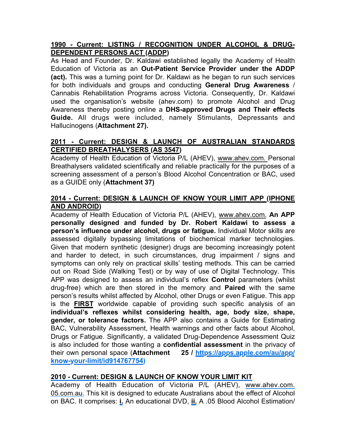# **1990 - Current: LISTING / RECOGNITION UNDER ALCOHOL & DRUG-DEPENDENT PERSONS ACT (ADDP)**

As Head and Founder, Dr. Kaldawi established legally the Academy of Health Education of Victoria as an **Out-Patient Service Provider under the ADDP (act).** This was a turning point for Dr. Kaldawi as he began to run such services for both individuals and groups and conducting **General Drug Awareness** / Cannabis Rehabilitation Programs across Victoria. Consequently, Dr. Kaldawi used the organisation's website (ahev.com) to promote Alcohol and Drug Awareness thereby posting online a **DHS-approved Drugs and Their effects Guide.** All drugs were included, namely Stimulants, Depressants and Hallucinogens (**Attachment 27).**

# **2011 - Current: DESIGN & LAUNCH OF AUSTRALIAN STANDARDS CERTIFIED BREATHALYSERS (AS 3547)**

Academy of Health Education of Victoria P/L (AHEV), www.ahev.com. Personal Breathalysers validated scientifically and reliable practically for the purposes of a screening assessment of a person's Blood Alcohol Concentration or BAC, used as a GUIDE only (**Attachment 37)**

# **2014 - Current: DESIGN & LAUNCH OF KNOW YOUR LIMIT APP (IPHONE AND ANDROID)**

Academy of Health Education of Victoria P/L (AHEV), www.ahev.com. **An APP personally designed and funded by Dr. Robert Kaldawi to assess a person's influence under alcohol, drugs or fatigue.** Individual Motor skills are assessed digitally bypassing limitations of biochemical marker technologies. Given that modern synthetic (designer) drugs are becoming increasingly potent and harder to detect, in such circumstances, drug impairment / signs and symptoms can only rely on practical skills' testing methods. This can be carried out on Road Side (Walking Test) or by way of use of Digital Technology. This APP was designed to assess an individual's reflex **Control** parameters (whilst drug-free) which are then stored in the memory and **Paired** with the same person's results whilst affected by Alcohol, other Drugs or even Fatigue. This app is the **FIRST** worldwide capable of providing such specific analysis of an **individual's reflexes whilst considering health, age, body size, shape, gender, or tolerance factors.** The APP also contains a Guide for Estimating BAC, Vulnerability Assessment, Health warnings and other facts about Alcohol, Drugs or Fatigue. Significantly, a validated Drug-Dependence Assessment Quiz is also included for those wanting a **confidential assessment** in the privacy of their own personal space (**Attachment 25 / [https://apps.apple.com/au/app/](https://apps.apple.com/au/app/know-your-limit/id914767754) [know-your-limit/id914767754](https://apps.apple.com/au/app/know-your-limit/id914767754))**

# **2010 - Current: DESIGN & LAUNCH OF KNOW YOUR LIMIT KIT**

Academy of Health Education of Victoria P/L (AHEV), www.ahev.com. 05.com.au. This kit is designed to educate Australians about the effect of Alcohol on BAC. It comprises: **i.** An educational DVD, **ii.** A .05 Blood Alcohol Estimation/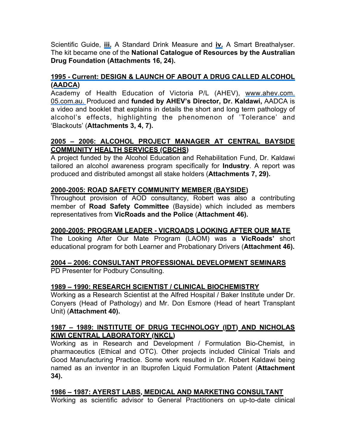Scientific Guide, **iii.** A Standard Drink Measure and **iv.** A Smart Breathalyser. The kit became one of the **National Catalogue of Resources by the Australian Drug Foundation (Attachments 16, 24).**

### **1995 - Current: DESIGN & LAUNCH OF ABOUT A DRUG CALLED ALCOHOL (AADCA)**

Academy of Health Education of Victoria P/L (AHEV), www.ahev.com. 05.com.au. Produced and **funded by AHEV's Director, Dr. Kaldawi,** AADCA is a video and booklet that explains in details the short and long term pathology of alcohol's effects, highlighting the phenomenon of 'Tolerance' and 'Blackouts' (**Attachments 3, 4, 7).**

#### **2005 – 2006: ALCOHOL PROJECT MANAGER AT CENTRAL BAYSIDE COMMUNITY HEALTH SERVICES (CBCHS)**

A project funded by the Alcohol Education and Rehabilitation Fund, Dr. Kaldawi tailored an alcohol awareness program specifically for **Industry**. A report was produced and distributed amongst all stake holders (**Attachments 7, 29).**

#### **2000-2005: ROAD SAFETY COMMUNITY MEMBER (BAYSIDE)**

Throughout provision of AOD consultancy, Robert was also a contributing member of **Road Safety Committee** (Bayside) which included as members representatives from **VicRoads and the Police** (**Attachment 46).**

# **2000-2005: PROGRAM LEADER - VICROADS LOOKING AFTER OUR MATE**

The Looking After Our Mate Program (LAOM) was a **VicRoads'** short educational program for both Learner and Probationary Drivers (**Attachment 46).**

#### **2004 – 2006: CONSULTANT PROFESSIONAL DEVELOPMENT SEMINARS**

PD Presenter for Podbury Consulting.

#### **1989 – 1990: RESEARCH SCIENTIST / CLINICAL BIOCHEMISTRY**

Working as a Research Scientist at the Alfred Hospital / Baker Institute under Dr. Conyers (Head of Pathology) and Mr. Don Esmore (Head of heart Transplant Unit) (**Attachment 40).**

#### **1987 – 1989: INSTITUTE OF DRUG TECHNOLOGY (IDT) AND NICHOLAS KIWI CENTRAL LABORATORY (NKCL)**

Working as in Research and Development / Formulation Bio-Chemist, in pharmaceutics (Ethical and OTC). Other projects included Clinical Trials and Good Manufacturing Practice. Some work resulted in Dr. Robert Kaldawi being named as an inventor in an Ibuprofen Liquid Formulation Patent (**Attachment 34).**

#### **1986 – 1987: AYERST LABS, MEDICAL AND MARKETING CONSULTANT**

Working as scientific advisor to General Practitioners on up-to-date clinical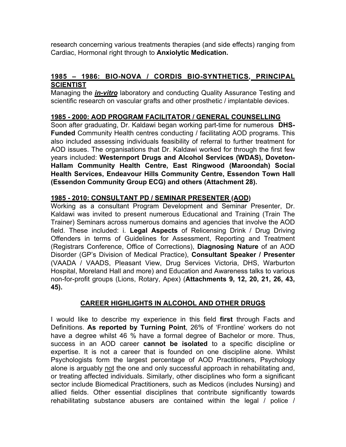research concerning various treatments therapies (and side effects) ranging from Cardiac, Hormonal right through to **Anxiolytic Medication.**

# **1985 – 1986: BIO-NOVA / CORDIS BIO-SYNTHETICS, PRINCIPAL SCIENTIST**

Managing the *in-vitro* laboratory and conducting Quality Assurance Testing and scientific research on vascular grafts and other prosthetic / implantable devices.

# **1985 - 2000: AOD PROGRAM FACILITATOR / GENERAL COUNSELLING**

Soon after graduating, Dr. Kaldawi began working part-time for numerous **DHS-Funded** Community Health centres conducting / facilitating AOD programs. This also included assessing individuals feasibility of referral to further treatment for AOD issues. The organisations that Dr. Kaldawi worked for through the first few years included: **Westernport Drugs and Alcohol Services (WDAS), Doveton-Hallam Community Health Centre, East Ringwood (Maroondah) Social Health Services, Endeavour Hills Community Centre, Essendon Town Hall (Essendon Community Group ECG) and others (Attachment 28).**

#### **1985 - 2010: CONSULTANT PD / SEMINAR PRESENTER (AOD)**

Working as a consultant Program Development and Seminar Presenter, Dr. Kaldawi was invited to present numerous Educational and Training (Train The Trainer) Seminars across numerous domains and agencies that involve the AOD field. These included: i. **Legal Aspects** of Relicensing Drink / Drug Driving Offenders in terms of Guidelines for Assessment, Reporting and Treatment (Registrars Conference, Office of Corrections), **Diagnosing Nature** of an AOD Disorder (GP's Division of Medical Practice), **Consultant Speaker / Presenter**  (VAADA / VAADS, Pleasant View, Drug Services Victoria, DHS, Warburton Hospital, Moreland Hall and more) and Education and Awareness talks to various non-for-profit groups (Lions, Rotary, Apex) (**Attachments 9, 12, 20, 21, 26, 43, 45).**

#### **CAREER HIGHLIGHTS IN ALCOHOL AND OTHER DRUGS**

I would like to describe my experience in this field **first** through Facts and Definitions. **As reported by Turning Point**, 26% of 'Frontline' workers do not have a degree whilst 46 % have a formal degree of Bachelor or more. Thus, success in an AOD career **cannot be isolated** to a specific discipline or expertise. It is not a career that is founded on one discipline alone. Whilst Psychologists form the largest percentage of AOD Practitioners, Psychology alone is arguably not the one and only successful approach in rehabilitating and, or treating affected individuals. Similarly, other disciplines who form a significant sector include Biomedical Practitioners, such as Medicos (includes Nursing) and allied fields. Other essential disciplines that contribute significantly towards rehabilitating substance abusers are contained within the legal / police /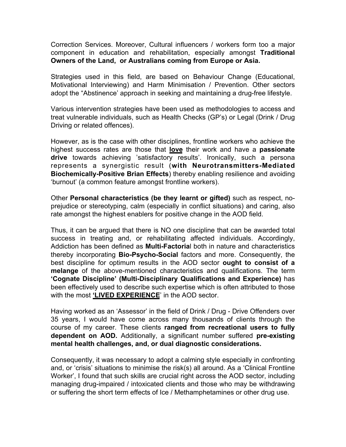Correction Services. Moreover, Cultural influencers / workers form too a major component in education and rehabilitation, especially amongst **Traditional Owners of the Land, or Australians coming from Europe or Asia.** 

Strategies used in this field, are based on Behaviour Change (Educational, Motivational Interviewing) and Harm Minimisation / Prevention. Other sectors adopt the "Abstinence' approach in seeking and maintaining a drug-free lifestyle.

Various intervention strategies have been used as methodologies to access and treat vulnerable individuals, such as Health Checks (GP's) or Legal (Drink / Drug Driving or related offences).

However, as is the case with other disciplines, frontline workers who achieve the highest success rates are those that **love** their work and have a **passionate drive** towards achieving 'satisfactory results'. Ironically, such a persona represents a synergistic result (**with Neurotransmitters-Mediated Biochemically-Positive Brian Effects**) thereby enabling resilience and avoiding 'burnout' (a common feature amongst frontline workers).

Other **Personal characteristics (be they learnt or gifted)** such as respect, noprejudice or stereotyping, calm (especially in conflict situations) and caring, also rate amongst the highest enablers for positive change in the AOD field.

Thus, it can be argued that there is NO one discipline that can be awarded total success in treating and, or rehabilitating affected individuals. Accordingly, Addiction has been defined as **Multi-Factoria**l both in nature and characteristics thereby incorporating **Bio-Psycho-Social** factors and more. Consequently, the best discipline for optimum results in the AOD sector **ought to consist of a melange** of the above-mentioned characteristics and qualifications. The term **'Cognate Discipline' (Multi-Disciplinary Qualifications and Experience)** has been effectively used to describe such expertise which is often attributed to those with the most **'LIVED EXPERIENCE**' in the AOD sector.

Having worked as an 'Assessor' in the field of Drink / Drug - Drive Offenders over 35 years, I would have come across many thousands of clients through the course of my career. These clients **ranged from recreational users to fully dependent on AOD.** Additionally, a significant number suffered **pre-existing mental health challenges, and, or dual diagnostic considerations.** 

Consequently, it was necessary to adopt a calming style especially in confronting and, or 'crisis' situations to minimise the risk(s) all around. As a 'Clinical Frontline Worker', I found that such skills are crucial right across the AOD sector, including managing drug-impaired / intoxicated clients and those who may be withdrawing or suffering the short term effects of Ice / Methamphetamines or other drug use.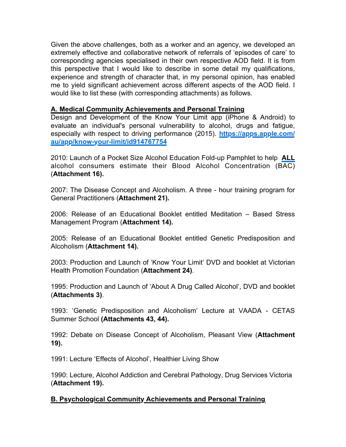Given the above challenges, both as a worker and an agency, we developed an extremely effective and collaborative network of referrals of 'episodes of care' to corresponding agencies specialised in their own respective AOD field. It is from this perspective that I would like to describe in some detail my qualifications, experience and strength of character that, in my personal opinion, has enabled me to yield significant achievement across different aspects of the AOD field. I would like to list these (with corresponding attachments) as follows.

#### **A. Medical Community Achievements and Personal Training**

Design and Development of the Know Your Limit app (iPhone & Android) to evaluate an individual's personal vulnerability to alcohol, drugs and fatigue, especially with respect to driving performance (2015). **[https://apps.apple.com/](https://apps.apple.com/au/app/know-your-limit/id914767754) [au/app/know-your-limit/id914767754](https://apps.apple.com/au/app/know-your-limit/id914767754)**

2010: Launch of a Pocket Size Alcohol Education Fold-up Pamphlet to help **ALL** alcohol consumers estimate their Blood Alcohol Concentration (BAC) (**Attachment 16).**

2007: The Disease Concept and Alcoholism. A three - hour training program for General Practitioners (**Attachment 21).**

2006: Release of an Educational Booklet entitled Meditation – Based Stress Management Program (**Attachment 14).**

2005: Release of an Educational Booklet entitled Genetic Predisposition and Alcoholism (**Attachment 14).**

2003: Production and Launch of 'Know Your Limit' DVD and booklet at Victorian Health Promotion Foundation (**Attachment 24)**.

1995: Production and Launch of 'About A Drug Called Alcohol', DVD and booklet (**Attachments 3)**.

1993: 'Genetic Predisposition and Alcoholism' Lecture at VAADA - CETAS Summer School **(Attachments 43, 44).**

1992: Debate on Disease Concept of Alcoholism, Pleasant View (**Attachment 19).**

1991: Lecture 'Effects of Alcohol', Healthier Living Show

1990: Lecture, Alcohol Addiction and Cerebral Pathology, Drug Services Victoria (**Attachment 19).**

#### **B. Psychological Community Achievements and Personal Training**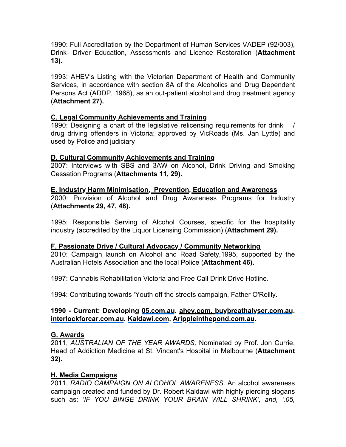1990: Full Accreditation by the Department of Human Services VADEP (92/003), Drink- Driver Education, Assessments and Licence Restoration (**Attachment 13).**

1993: AHEV's Listing with the Victorian Department of Health and Community Services, in accordance with section 8A of the Alcoholics and Drug Dependent Persons Act (ADDP, 1968), as an out-patient alcohol and drug treatment agency (**Attachment 27).** 

#### **C. Legal Community Achievements and Training**

1990: Designing a chart of the legislative relicensing requirements for drink drug driving offenders in Victoria; approved by VicRoads (Ms. Jan Lyttle) and used by Police and judiciary

# **D. Cultural Community Achievements and Training**

2007: Interviews with SBS and 3AW on Alcohol, Drink Driving and Smoking Cessation Programs (**Attachments 11, 29).**

#### **E. Industry Harm Minimisation, Prevention, Education and Awareness**

2000: Provision of Alcohol and Drug Awareness Programs for Industry (**Attachments 29, 47, 48).**

1995: Responsible Serving of Alcohol Courses, specific for the hospitality industry (accredited by the Liquor Licensing Commission) (**Attachment 29).**

#### **F. Passionate Drive / Cultural Advocacy / Community Networking**

2010: Campaign launch on Alcohol and Road Safety,1995, supported by the Australian Hotels Association and the local Police (**Attachment 46).**

1997: Cannabis Rehabilitation Victoria and Free Call Drink Drive Hotline.

1994: Contributing towards 'Youth off the streets campaign, Father O'Reilly.

#### **1990 - Current: Developing [05.com.au.](http://05.com.au/) ahev.com. [buybreathalyser.com.au.](http://buybreathalyser.com.au/) [interlockforcar.com.au](http://interlockforcar.com.au/). [Kaldawi.com](http://kaldawi.com/). [Arippleinthepond.com.au.](http://arippleinthepond.com.au/)**

#### **G. Awards**

2011, *AUSTRALIAN OF THE YEAR AWARDS,* Nominated by Prof. Jon Currie, Head of Addiction Medicine at St. Vincent's Hospital in Melbourne (**Attachment 32).**

# **H. Media Campaigns**

2011, *RADIO CAMPAIGN ON ALCOHOL AWARENESS,* An alcohol awareness campaign created and funded by Dr. Robert Kaldawi with highly piercing slogans such as: 'IF YOU BINGE DRINK YOUR BRAIN WILL SHRINK', and, '.05,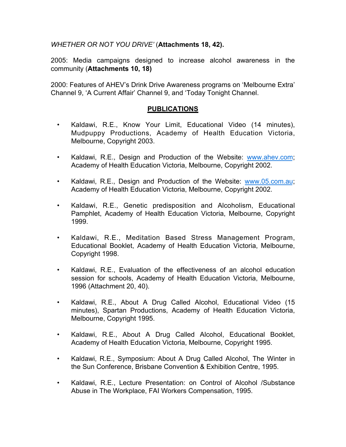*WHETHER OR NOT YOU DRIVE'* (**Attachments 18, 42).**

2005: Media campaigns designed to increase alcohol awareness in the community (**Attachments 10, 18)**

2000: Features of AHEV's Drink Drive Awareness programs on 'Melbourne Extra' Channel 9, 'A Current Affair' Channel 9, and 'Today Tonight Channel.

#### **PUBLICATIONS**

- Kaldawi, R.E., Know Your Limit, Educational Video (14 minutes), Mudpuppy Productions, Academy of Health Education Victoria, Melbourne, Copyright 2003.
- Kaldawi, R.E., Design and Production of the Website: [www.ahev.com;](http://www.ahev.com/) Academy of Health Education Victoria, Melbourne, Copyright 2002.
- Kaldawi, R.E., Design and Production of the Website: [www.05.com.au;](http://www.05.com.au/) Academy of Health Education Victoria, Melbourne, Copyright 2002.
- Kaldawi, R.E., Genetic predisposition and Alcoholism, Educational Pamphlet, Academy of Health Education Victoria, Melbourne, Copyright 1999.
- Kaldawi, R.E., Meditation Based Stress Management Program, Educational Booklet, Academy of Health Education Victoria, Melbourne, Copyright 1998.
- Kaldawi, R.E., Evaluation of the effectiveness of an alcohol education session for schools, Academy of Health Education Victoria, Melbourne, 1996 (Attachment 20, 40).
- Kaldawi, R.E., About A Drug Called Alcohol, Educational Video (15 minutes), Spartan Productions, Academy of Health Education Victoria, Melbourne, Copyright 1995.
- Kaldawi, R.E., About A Drug Called Alcohol, Educational Booklet, Academy of Health Education Victoria, Melbourne, Copyright 1995.
- Kaldawi, R.E., Symposium: About A Drug Called Alcohol, The Winter in the Sun Conference, Brisbane Convention & Exhibition Centre, 1995.
- Kaldawi, R.E., Lecture Presentation: on Control of Alcohol /Substance Abuse in The Workplace, FAI Workers Compensation, 1995.